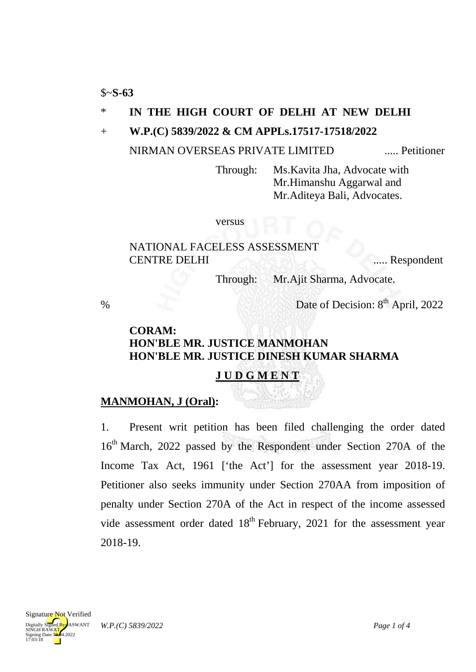\$~**S-63**

### \* **IN THE HIGH COURT OF DELHI AT NEW DELHI**

+ **W.P.(C) 5839/2022 & CM APPLs.17517-17518/2022**

NIRMAN OVERSEAS PRIVATE LIMITED ..... Petitioner

Through: Ms.Kavita Jha, Advocate with Mr.Himanshu Aggarwal and Mr.Aditeya Bali, Advocates.

versus

### NATIONAL FACELESS ASSESSMENT CENTRE DELHI ...... Respondent

Through: Mr.Ajit Sharma, Advocate.

% Date of Decision: 8<sup>th</sup> April, 2022

## **CORAM: HON'BLE MR. JUSTICE MANMOHAN HON'BLE MR. JUSTICE DINESH KUMAR SHARMA**

# **J U D G M E N T**

## **MANMOHAN, J (Oral) :**

1. Present writ petition has been filed challenging the order dated 16<sup>th</sup> March, 2022 passed by the Respondent under Section 270A of the Income Tax Act, 1961 ['the Act'] for the assessment year 2018-19. Petitioner also seeks immunity under Section 270AA from imposition of penalty under Section 270A of the Act in respect of the income assessed vide assessment order dated  $18<sup>th</sup>$  February, 2021 for the assessment year 2018-19.

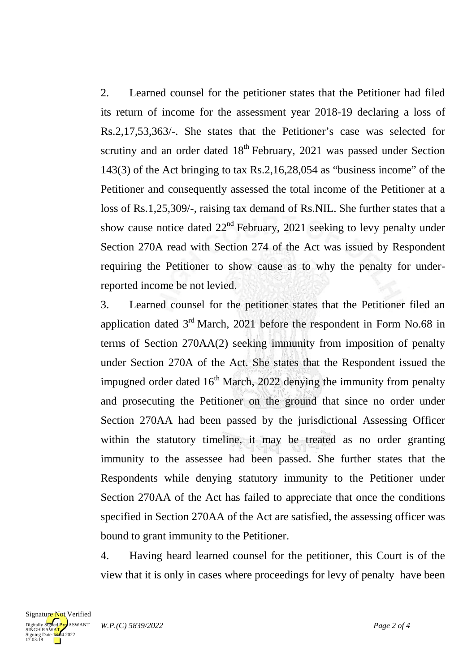2. Learned counsel for the petitioner states that the Petitioner had filed its return of income for the assessment year 2018-19 declaring a loss of Rs.2,17,53,363/-. She states that the Petitioner's case was selected for scrutiny and an order dated  $18<sup>th</sup>$  February, 2021 was passed under Section 143(3) of the Act bringing to tax Rs.2,16,28,054 as "business income" of the Petitioner and consequently assessed the total income of the Petitioner at a loss of Rs.1,25,309/-, raising tax demand of Rs.NIL. She further states that a show cause notice dated  $22<sup>nd</sup>$  February, 2021 seeking to levy penalty under Section 270A read with Section 274 of the Act was issued by Respondent requiring the Petitioner to show cause as to why the penalty for underreported income be not levied.

3. Learned counsel for the petitioner states that the Petitioner filed an application dated  $3<sup>rd</sup>$  March, 2021 before the respondent in Form No.68 in terms of Section 270AA(2) seeking immunity from imposition of penalty under Section 270A of the Act. She states that the Respondent issued the impugned order dated  $16<sup>th</sup>$  March, 2022 denying the immunity from penalty and prosecuting the Petitioner on the ground that since no order under Section 270AA had been passed by the jurisdictional Assessing Officer within the statutory timeline, it may be treated as no order granting immunity to the assessee had been passed. She further states that the Respondents while denying statutory immunity to the Petitioner under Section 270AA of the Act has failed to appreciate that once the conditions specified in Section 270AA of the Act are satisfied, the assessing officer was bound to grant immunity to the Petitioner.

4. Having heard learned counsel for the petitioner, this Court is of the view that it is only in cases where proceedings for levy of penalty have been

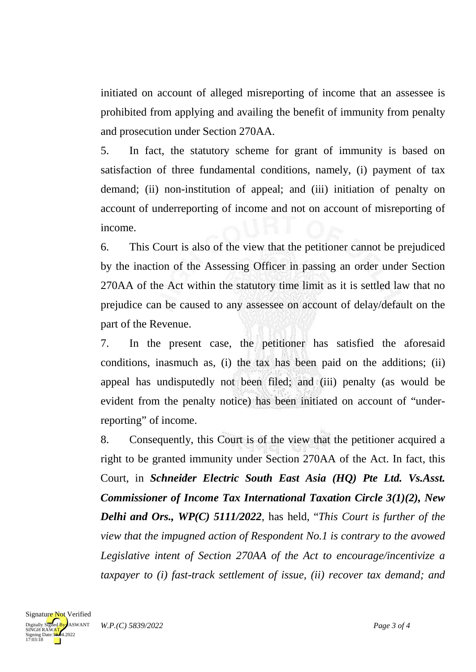initiated on account of alleged misreporting of income that an assessee is prohibited from applying and availing the benefit of immunity from penalty and prosecution under Section 270AA.

5. In fact, the statutory scheme for grant of immunity is based on satisfaction of three fundamental conditions, namely, (i) payment of tax demand; (ii) non-institution of appeal; and (iii) initiation of penalty on account of underreporting of income and not on account of misreporting of income.

6. This Court is also of the view that the petitioner cannot be prejudiced by the inaction of the Assessing Officer in passing an order under Section 270AA of the Act within the statutory time limit as it is settled law that no prejudice can be caused to any assessee on account of delay/default on the part of the Revenue.

7. In the present case, the petitioner has satisfied the aforesaid conditions, inasmuch as, (i) the tax has been paid on the additions; (ii) appeal has undisputedly not been filed; and (iii) penalty (as would be evident from the penalty notice) has been initiated on account of "underreporting" of income.

8. Consequently, this Court is of the view that the petitioner acquired a right to be granted immunity under Section 270AA of the Act. In fact, this Court, in *Schneider Electric South East Asia (HQ) Pte Ltd. Vs.Asst. Commissioner of Income Tax International Taxation Circle 3(1)(2), New Delhi and Ors., WP(C) 5111/2022*, has held, "*This Court is further of the view that the impugned action of Respondent No.1 is contrary to the avowed Legislative intent of Section 270AA of the Act to encourage/incentivize a taxpayer to (i) fast-track settlement of issue, (ii) recover tax demand; and*